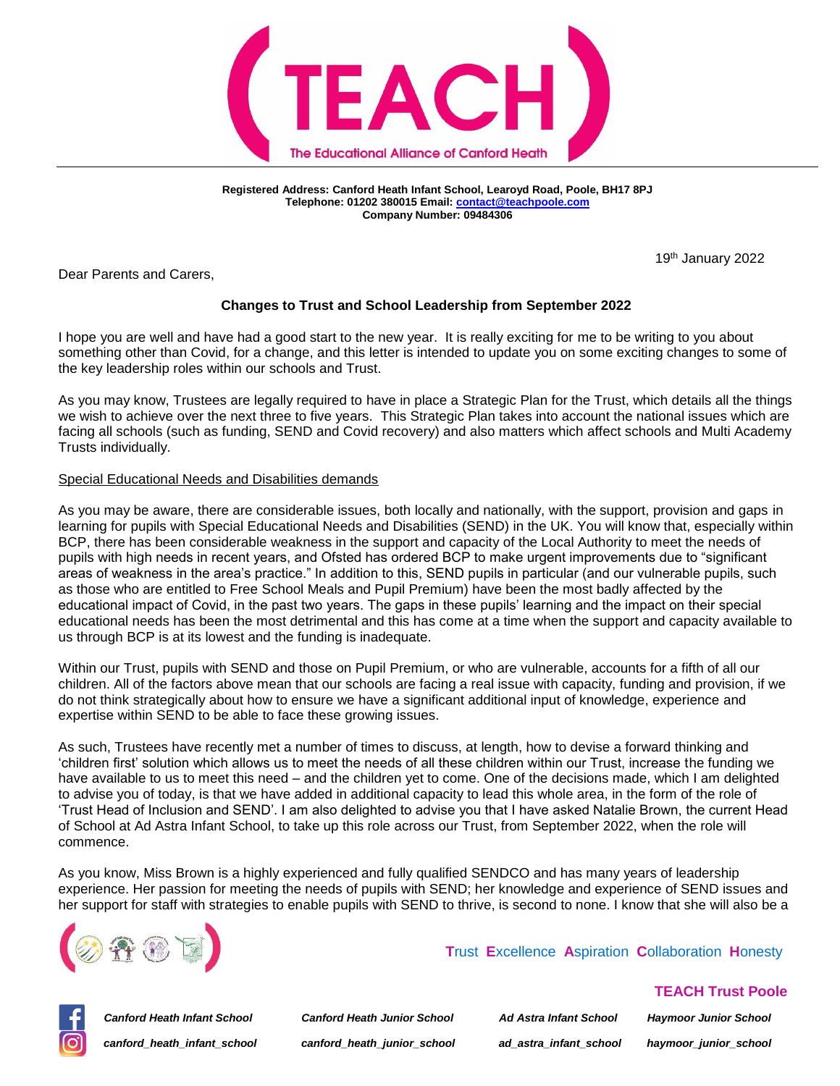

**Registered Address: Canford Heath Infant School, Learoyd Road, Poole, BH17 8PJ Telephone: 01202 380015 Email[: contact@teachpoole.com](mailto:contact@teachpoole.com) Company Number: 09484306**

19th January 2022

Dear Parents and Carers,

# **Changes to Trust and School Leadership from September 2022**

I hope you are well and have had a good start to the new year. It is really exciting for me to be writing to you about something other than Covid, for a change, and this letter is intended to update you on some exciting changes to some of the key leadership roles within our schools and Trust.

As you may know, Trustees are legally required to have in place a Strategic Plan for the Trust, which details all the things we wish to achieve over the next three to five years. This Strategic Plan takes into account the national issues which are facing all schools (such as funding, SEND and Covid recovery) and also matters which affect schools and Multi Academy Trusts individually.

### Special Educational Needs and Disabilities demands

As you may be aware, there are considerable issues, both locally and nationally, with the support, provision and gaps in learning for pupils with Special Educational Needs and Disabilities (SEND) in the UK. You will know that, especially within BCP, there has been considerable weakness in the support and capacity of the Local Authority to meet the needs of pupils with high needs in recent years, and Ofsted has ordered BCP to make urgent improvements due to "significant areas of weakness in the area's practice." In addition to this, SEND pupils in particular (and our vulnerable pupils, such as those who are entitled to Free School Meals and Pupil Premium) have been the most badly affected by the educational impact of Covid, in the past two years. The gaps in these pupils' learning and the impact on their special educational needs has been the most detrimental and this has come at a time when the support and capacity available to us through BCP is at its lowest and the funding is inadequate.

Within our Trust, pupils with SEND and those on Pupil Premium, or who are vulnerable, accounts for a fifth of all our children. All of the factors above mean that our schools are facing a real issue with capacity, funding and provision, if we do not think strategically about how to ensure we have a significant additional input of knowledge, experience and expertise within SEND to be able to face these growing issues.

As such, Trustees have recently met a number of times to discuss, at length, how to devise a forward thinking and 'children first' solution which allows us to meet the needs of all these children within our Trust, increase the funding we have available to us to meet this need – and the children yet to come. One of the decisions made, which I am delighted to advise you of today, is that we have added in additional capacity to lead this whole area, in the form of the role of 'Trust Head of Inclusion and SEND'. I am also delighted to advise you that I have asked Natalie Brown, the current Head of School at Ad Astra Infant School, to take up this role across our Trust, from September 2022, when the role will commence.

As you know, Miss Brown is a highly experienced and fully qualified SENDCO and has many years of leadership experience. Her passion for meeting the needs of pupils with SEND; her knowledge and experience of SEND issues and her support for staff with strategies to enable pupils with SEND to thrive, is second to none. I know that she will also be a



## **T**rust **E**xcellence **A**spiration **C**ollaboration **H**onesty

*Canford Heath Infant School Canford Heath Junior School Ad Astra Infant School Haymoor Junior School canford\_heath\_infant\_school canford\_heath\_junior\_school ad\_astra\_infant\_school haymoor\_junior\_school*

 **TEACH Trust Poole**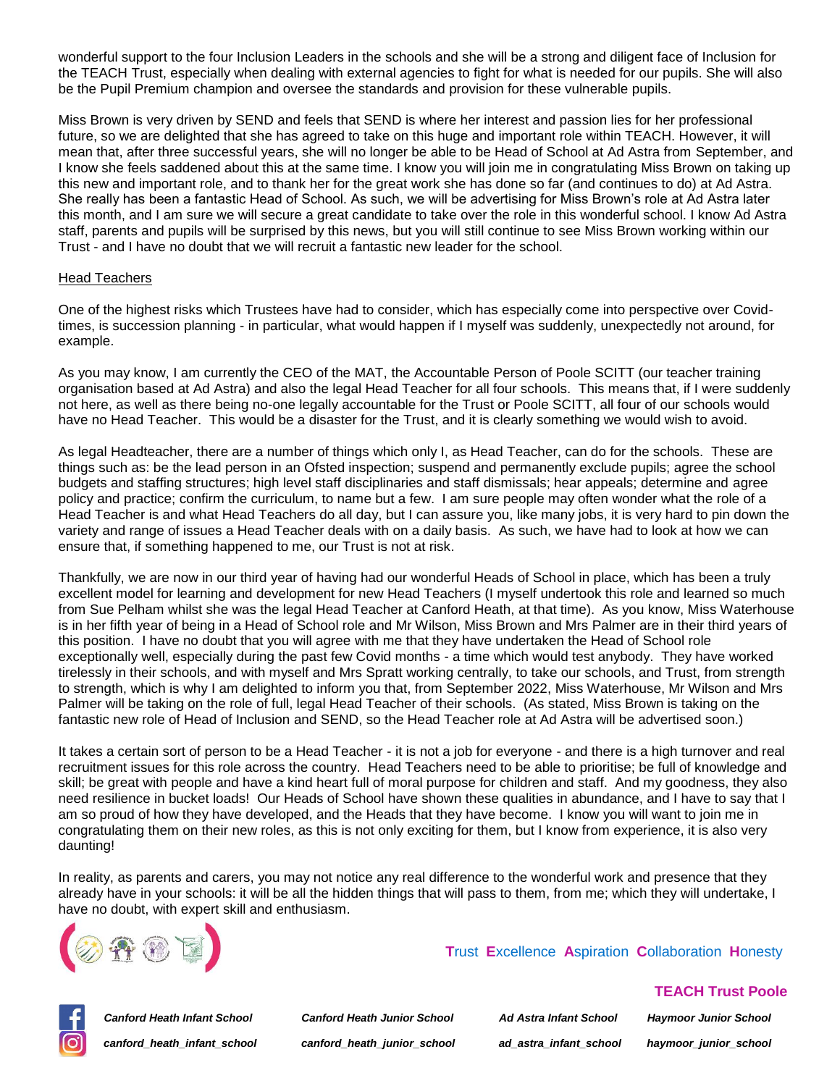wonderful support to the four Inclusion Leaders in the schools and she will be a strong and diligent face of Inclusion for the TEACH Trust, especially when dealing with external agencies to fight for what is needed for our pupils. She will also be the Pupil Premium champion and oversee the standards and provision for these vulnerable pupils.

Miss Brown is very driven by SEND and feels that SEND is where her interest and passion lies for her professional future, so we are delighted that she has agreed to take on this huge and important role within TEACH. However, it will mean that, after three successful years, she will no longer be able to be Head of School at Ad Astra from September, and I know she feels saddened about this at the same time. I know you will join me in congratulating Miss Brown on taking up this new and important role, and to thank her for the great work she has done so far (and continues to do) at Ad Astra. She really has been a fantastic Head of School. As such, we will be advertising for Miss Brown's role at Ad Astra later this month, and I am sure we will secure a great candidate to take over the role in this wonderful school. I know Ad Astra staff, parents and pupils will be surprised by this news, but you will still continue to see Miss Brown working within our Trust - and I have no doubt that we will recruit a fantastic new leader for the school.

#### Head Teachers

One of the highest risks which Trustees have had to consider, which has especially come into perspective over Covidtimes, is succession planning - in particular, what would happen if I myself was suddenly, unexpectedly not around, for example.

As you may know, I am currently the CEO of the MAT, the Accountable Person of Poole SCITT (our teacher training organisation based at Ad Astra) and also the legal Head Teacher for all four schools. This means that, if I were suddenly not here, as well as there being no-one legally accountable for the Trust or Poole SCITT, all four of our schools would have no Head Teacher. This would be a disaster for the Trust, and it is clearly something we would wish to avoid.

As legal Headteacher, there are a number of things which only I, as Head Teacher, can do for the schools. These are things such as: be the lead person in an Ofsted inspection; suspend and permanently exclude pupils; agree the school budgets and staffing structures; high level staff disciplinaries and staff dismissals; hear appeals; determine and agree policy and practice; confirm the curriculum, to name but a few. I am sure people may often wonder what the role of a Head Teacher is and what Head Teachers do all day, but I can assure you, like many jobs, it is very hard to pin down the variety and range of issues a Head Teacher deals with on a daily basis. As such, we have had to look at how we can ensure that, if something happened to me, our Trust is not at risk.

Thankfully, we are now in our third year of having had our wonderful Heads of School in place, which has been a truly excellent model for learning and development for new Head Teachers (I myself undertook this role and learned so much from Sue Pelham whilst she was the legal Head Teacher at Canford Heath, at that time). As you know, Miss Waterhouse is in her fifth year of being in a Head of School role and Mr Wilson, Miss Brown and Mrs Palmer are in their third years of this position. I have no doubt that you will agree with me that they have undertaken the Head of School role exceptionally well, especially during the past few Covid months - a time which would test anybody. They have worked tirelessly in their schools, and with myself and Mrs Spratt working centrally, to take our schools, and Trust, from strength to strength, which is why I am delighted to inform you that, from September 2022, Miss Waterhouse, Mr Wilson and Mrs Palmer will be taking on the role of full, legal Head Teacher of their schools. (As stated, Miss Brown is taking on the fantastic new role of Head of Inclusion and SEND, so the Head Teacher role at Ad Astra will be advertised soon.)

It takes a certain sort of person to be a Head Teacher - it is not a job for everyone - and there is a high turnover and real recruitment issues for this role across the country. Head Teachers need to be able to prioritise; be full of knowledge and skill; be great with people and have a kind heart full of moral purpose for children and staff. And my goodness, they also need resilience in bucket loads! Our Heads of School have shown these qualities in abundance, and I have to say that I am so proud of how they have developed, and the Heads that they have become. I know you will want to join me in congratulating them on their new roles, as this is not only exciting for them, but I know from experience, it is also very daunting!

In reality, as parents and carers, you may not notice any real difference to the wonderful work and presence that they already have in your schools: it will be all the hidden things that will pass to them, from me; which they will undertake, I have no doubt, with expert skill and enthusiasm.



 **T**rust **E**xcellence **A**spiration **C**ollaboration **H**onesty



*Canford Heath Infant School Canford Heath Junior School Ad Astra Infant School Haymoor Junior School canford\_heath\_infant\_school canford\_heath\_junior\_school ad\_astra\_infant\_school haymoor\_junior\_school*

 **TEACH Trust Poole**